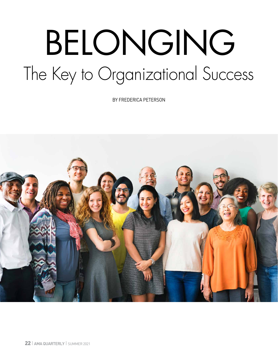# BELONGING The Key to Organizational Success

BY FREDERICA PETERSON

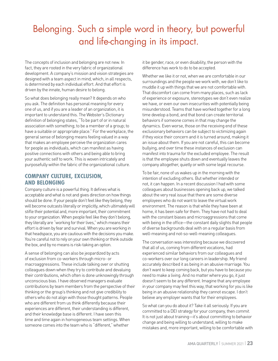## Belonging. Such a simple word in theory, but powerful and life-changing in its impact.

The concepts of inclusion and belonging are not new. In fact, they are rooted in the very fabric of organizational development. A company's mission and vision strategies are designed with a team aspect in mind, which, in all respects, is determined by each individual effort. And that effort is driven by the innate, human desire to belong.

So what does belonging really mean? It depends on who you ask. The definition has personal meaning for every one of us, and if you are a leader of an organization, it is important to understand this. The Webster's Dictionary definition of belonging states, "To be part of or in natural association with something; to be a member of a group; to have a suitable or appropriate place." For the workplace, the general sense of belonging means feeling valued in a way that makes an employee perceive the organization cares for people as individuals, which can manifest as having positive connections with others and being able to bring your authentic self to work. This is woven intricately and purposefully within the fabric of the organizational culture.

#### **COMPANY CULTURE, EXCLUSION, AND BELONGING**

Company culture is a powerful thing. It defines what is acceptable and what is not and gives direction on how things should be done. If your people don't feel like they belong, they will become outcasts literally or implicitly, which ultimately will stifle their potential and, more important, their commitment to your organization. When people feel like they don't belong, they literally are "working for their lives," which means their effort is driven by fear and survival. When you are working in that headspace, you are cautious with the decisions you make. You're careful not to rely on your own thinking or think outside the box, and by no means is risk-taking an option.

A sense of belonging can also be jeopardized by acts of exclusion from co-workers through micro- or macroaggressions. These include talking over or shutting colleagues down when they try to contribute and devaluing their contributions, which often is done unknowingly through unconscious bias. I have observed managers evaluate contributions by team members from the perspective of their thinking or the group's thinking and not give credibility to others who do not align with those thought patterns. People who are different from us think differently because their experiences are different, their understanding is different, and their knowledge base is different. I have seen this time and time again in homogeneous team settings. When someone comes into the team who is "different," whether

it be gender, race, or even disability, the person with the difference has work to do to be accepted.

Whether we like it or not, when we are comfortable in our surroundings and the people we work with, we don't like to muddle it up with things that we are not comfortable with. That discomfort can come from many places, such as lack of experience or exposure, stereotypes we don't even realize we have, or even our own insecurities with potentially being misunderstood. Teams that have worked together for a long time develop a bond, and that bond can create territorial behaviors if someone comes in that may change the dynamics. Even worse, those on the receiving end of these exclusionary behaviors can be subject to victimizing again if they voice their concern and it is turned around, making it an issue about them. If you are not careful, this can become bullying, and over time these instances of exclusion can manifest into trauma for the excluded employee. The result is that the employee shuts down and eventually leaves the company altogether, quietly or with some legal recourse.

To be fair, none of us wakes up in the morning with the intention of excluding others. But whether intended or not, it can happen. In a recent discussion I had with some colleagues about businesses opening back up, we talked about the very real issue that there are some diverse employees who do not want to leave the virtual work environment. The reason is that while they have been at home, it has been safe for them. They have not had to deal with the constant biases and microaggressions that come with being in the office—the constant daily slights that people of diverse backgrounds deal with on a regular basis from well-meaning and not-so-well-meaning colleagues.

The conversation was interesting because we discovered that all of us, coming from different vocations, had experienced similar behaviors from our colleagues and co-workers over our long careers in leadership. My friend accurately described it as being in an abusive marriage. You don't want to keep coming back, but you have to because you need to make a living. And no matter where you go, it just doesn't seem to be any different. Imagine that any employee in your company may feel this way, that working for you is like being in an abusive relationship they cannot escape. I don't believe any employer wants that for their employees.

So what can you do about it? Take it all seriously. If you are committed to a DEI strategy for your company, then *commit*. It is not just about training—it's about committing to behavior change and being willing to understand, willing to make mistakes and, more important, willing to be comfortable with